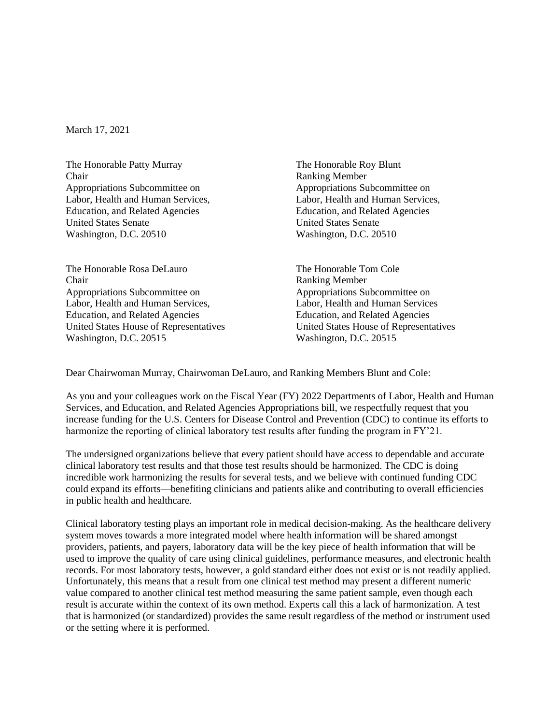March 17, 2021

The Honorable Patty Murray Chair Appropriations Subcommittee on Labor, Health and Human Services, Education, and Related Agencies United States Senate Washington, D.C. 20510

The Honorable Rosa DeLauro Chair Appropriations Subcommittee on Labor, Health and Human Services, Education, and Related Agencies United States House of Representatives Washington, D.C. 20515

The Honorable Roy Blunt Ranking Member Appropriations Subcommittee on Labor, Health and Human Services, Education, and Related Agencies United States Senate Washington, D.C. 20510

The Honorable Tom Cole Ranking Member Appropriations Subcommittee on Labor, Health and Human Services Education, and Related Agencies United States House of Representatives Washington, D.C. 20515

Dear Chairwoman Murray, Chairwoman DeLauro, and Ranking Members Blunt and Cole:

As you and your colleagues work on the Fiscal Year (FY) 2022 Departments of Labor, Health and Human Services, and Education, and Related Agencies Appropriations bill, we respectfully request that you increase funding for the U.S. Centers for Disease Control and Prevention (CDC) to continue its efforts to harmonize the reporting of clinical laboratory test results after funding the program in FY'21.

The undersigned organizations believe that every patient should have access to dependable and accurate clinical laboratory test results and that those test results should be harmonized. The CDC is doing incredible work harmonizing the results for several tests, and we believe with continued funding CDC could expand its efforts—benefiting clinicians and patients alike and contributing to overall efficiencies in public health and healthcare.

Clinical laboratory testing plays an important role in medical decision-making. As the healthcare delivery system moves towards a more integrated model where health information will be shared amongst providers, patients, and payers, laboratory data will be the key piece of health information that will be used to improve the quality of care using clinical guidelines, performance measures, and electronic health records. For most laboratory tests, however, a gold standard either does not exist or is not readily applied. Unfortunately, this means that a result from one clinical test method may present a different numeric value compared to another clinical test method measuring the same patient sample, even though each result is accurate within the context of its own method. Experts call this a lack of harmonization. A test that is harmonized (or standardized) provides the same result regardless of the method or instrument used or the setting where it is performed.